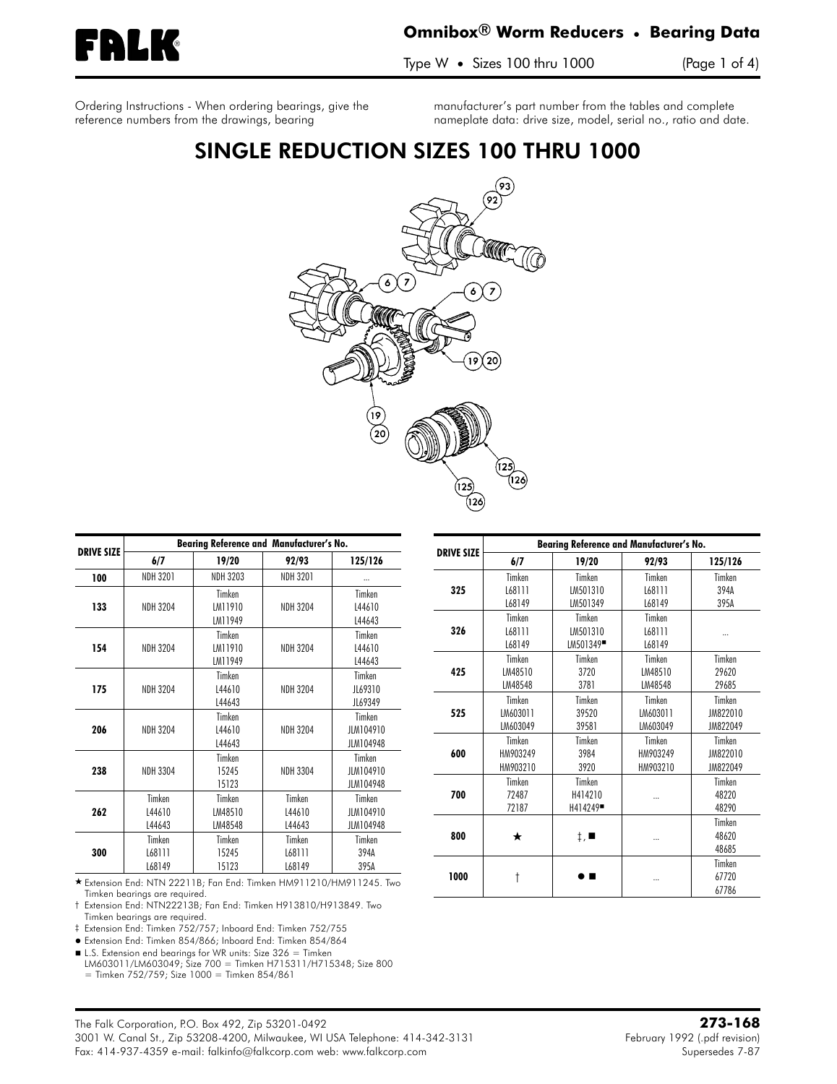<span id="page-0-0"></span>

### **Omnibox**® **Worm Reducers** • **Bearing Data**

Type W • Sizes 100 thru 1000 (Page 1 of 4)

**Ordering Instructions** - When ordering bearings, give the reference numbers from the drawings, bearing

manufacturer's part number from the tables and complete nameplate data: drive size, model, serial no., ratio and date.

## SINGLE REDUCTION SIZES 100 THRU 1000



|                   |                            | <b>Bearing Reference and Manufacturer's No.</b> |                            |                                  |
|-------------------|----------------------------|-------------------------------------------------|----------------------------|----------------------------------|
| <b>DRIVE SIZE</b> | 6/7                        | 19/20                                           | 92/93                      | 125/126                          |
| 100               | <b>NDH 3201</b>            | <b>NDH 3203</b>                                 | <b>NDH 3201</b>            |                                  |
| 133               | <b>NDH 3204</b>            | Timken<br>LM11910<br>LM11949                    | <b>NDH 3204</b>            | Timken<br>L44610<br>L44643       |
| 154               | <b>NDH 3204</b>            | Timken<br>IM11910<br>LM11949                    | <b>NDH 3204</b>            | Timken<br>L44610<br>L44643       |
| 175               | <b>NDH 3204</b>            | Timken<br>L44610<br>L44643                      | <b>NDH 3204</b>            | Timken<br>JL69310<br>JL69349     |
| 206               | <b>NDH 3204</b>            | Timken<br>L44610<br>L44643                      | <b>NDH 3204</b>            | Timken<br>JLM104910<br>JLM104948 |
| 238               | <b>NDH 3304</b>            | Timken<br>15245<br>15123                        | <b>NDH 3304</b>            | Timken<br>JLM104910<br>JLM104948 |
| 262               | Timken<br>L44610<br>L44643 | Timken<br>LM48510<br>LM48548                    | Timken<br>L44610<br>L44643 | Timken<br>JLM104910<br>JLM104948 |
| 300               | Timken<br>L68111<br>L68149 | Timken<br>15245<br>15123                        | Timken<br>L68111<br>L68149 | Timken<br>394A<br>395A           |

 Extension End: NTN 22211B; Fan End: Timken HM911210/HM911245. Two Timken bearings are required.

† Extension End: NTN22213B; Fan End: Timken H913810/H913849. Two Timken bearings are required.

‡ Extension End: Timken 752/757; Inboard End: Timken 752/755

- Extension End: Timken 854/866; Inboard End: Timken 854/864

■ L.S. Extension end bearings for WR units: Size 326 = Timken

LM603011/LM603049; Size 700 = Timken H715311/H715348; Size 800  $=$  Timken 752/759; Size 1000  $=$  Timken 854/861

|                   | <b>Bearing Reference and Manufacturer's No.</b> |                             |          |          |  |  |  |
|-------------------|-------------------------------------------------|-----------------------------|----------|----------|--|--|--|
| <b>DRIVE SIZE</b> | 6/7                                             | 19/20                       | 92/93    | 125/126  |  |  |  |
|                   | Timken                                          | Timken                      | Timken   | Timken   |  |  |  |
| 325               | L68111                                          | LM501310                    | L68111   | 394A     |  |  |  |
|                   | L68149                                          | LM501349                    | L68149   | 395A     |  |  |  |
|                   | Timken                                          | Timken                      | Timken   |          |  |  |  |
| 326               | L68111                                          | LM501310                    | L68111   |          |  |  |  |
|                   | L68149                                          | LM501349 <sup>-</sup>       | L68149   |          |  |  |  |
|                   | Timken                                          | Timken                      | Timken   | Timken   |  |  |  |
| 425               | LM48510                                         | 3720                        | LM48510  | 29620    |  |  |  |
|                   | LM48548                                         | 3781                        | LM48548  | 29685    |  |  |  |
|                   | Timken                                          | Timken                      | Timken   | Timken   |  |  |  |
| 525               | LM603011                                        | 39520                       | LM603011 | JM822010 |  |  |  |
|                   | LM603049                                        | 39581                       | LM603049 | JM822049 |  |  |  |
|                   | Timken                                          | Timken                      | Timken   | Timken   |  |  |  |
| 600               | HM903249                                        | 3984                        | HM903249 | JM822010 |  |  |  |
|                   | HM903210                                        | 3920                        | HM903210 | JM822049 |  |  |  |
|                   | Timken                                          | Timken                      |          | Timken   |  |  |  |
| 700               | 72487                                           | H414210                     |          | 48220    |  |  |  |
|                   | 72187                                           | H414249                     |          | 48290    |  |  |  |
|                   |                                                 |                             |          | Timken   |  |  |  |
| 800               | ★                                               | $\ddagger$ , $\blacksquare$ |          | 48620    |  |  |  |
|                   |                                                 |                             |          | 48685    |  |  |  |
|                   |                                                 |                             |          | Timken   |  |  |  |
| 1000              | t                                               |                             |          | 67720    |  |  |  |
|                   |                                                 |                             |          | 67786    |  |  |  |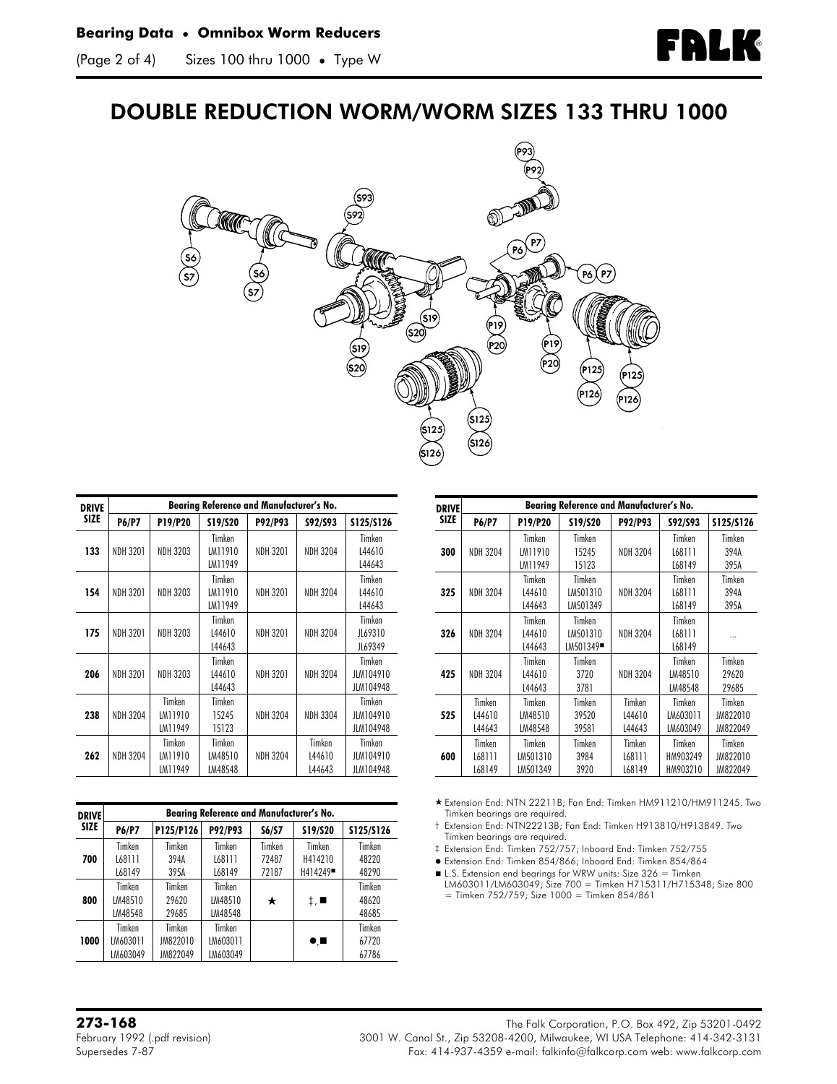# **FALK**

### DOUBLE REDUCTION WORM/WORM SIZES 133 THRU 1000



| <b>DRIVE</b> | Bearing Reference and Manufacturer's No. |                              |                              |                 |                            |                                  |  |
|--------------|------------------------------------------|------------------------------|------------------------------|-----------------|----------------------------|----------------------------------|--|
| <b>SIZE</b>  | <b>P6/P7</b>                             | P19/P20                      | S19/S20                      | P92/P93         | S92/S93                    | \$125/\$126                      |  |
| 133          | <b>NDH 3201</b>                          | NDH 3203                     | Timken<br>LM11910<br>LM11949 | <b>NDH 3201</b> | <b>NDH 3204</b>            | Timken<br>L44610<br>L44643       |  |
| 154          | <b>NDH 3201</b>                          | <b>NDH 3203</b>              | Timken<br>LM11910<br>LM11949 | <b>NDH 3201</b> | <b>NDH 3204</b>            | Timken<br>L44610<br>L44643       |  |
| 175          | <b>NDH 3201</b>                          | NDH 3203                     | Timken<br>L44610<br>L44643   | <b>NDH 3201</b> | <b>NDH 3204</b>            | Timken<br>JL69310<br>JL69349     |  |
| 206          | <b>NDH 3201</b>                          | NDH 3203                     | Timken<br>144610<br>L44643   | <b>NDH 3201</b> | <b>NDH 3204</b>            | Timken<br>JLM104910<br>JLM104948 |  |
| 238          | <b>NDH 3204</b>                          | Timken<br>LM11910<br>LM11949 | Timken<br>15245<br>15123     | <b>NDH 3204</b> | <b>NDH 3304</b>            | Timken<br>JLM104910<br>JLM104948 |  |
| 262          | <b>NDH 3204</b>                          | Timken<br>LM11910<br>LM11949 | Timken<br>LM48510<br>LM48548 | <b>NDH 3204</b> | Timken<br>L44610<br>L44643 | Timken<br>JLM104910<br>JLM104948 |  |

| <b>DRIVE</b> | <b>Bearing Reference and Manufacturer's No.</b> |           |          |        |                            |           |  |
|--------------|-------------------------------------------------|-----------|----------|--------|----------------------------|-----------|--|
| <b>SIZE</b>  | <b>P6/P7</b>                                    | P125/P126 | P92/P93  | S6/S7  | S19/S20                    | S125/S126 |  |
|              | Timken                                          | Timken    | Timken   | Timken | Timken                     | Timken    |  |
| 700          | L68111                                          | 394A      | L68111   | 72487  | H414210                    | 48220     |  |
|              | L68149                                          | 395A      | L68149   | 72187  | H414249 <sup>-</sup>       | 48290     |  |
|              | Timken                                          | Timken    | Timken   |        |                            | Timken    |  |
| 800          | LM48510                                         | 29620     | LM48510  | *      | ‡, ∎                       | 48620     |  |
|              | LM48548                                         | 29685     | LM48548  |        |                            | 48685     |  |
|              | Timken                                          | Timken    | Timken   |        |                            | Timken    |  |
| 1000         | LM603011                                        | JM822010  | LM603011 |        | $\bullet$ , $\blacksquare$ | 67720     |  |
|              | LM603049                                        | JM822049  | LM603049 |        |                            | 67786     |  |

| <b>DRIVE</b> | <b>Bearing Reference and Manufacturer's No.</b> |          |                       |                 |          |           |
|--------------|-------------------------------------------------|----------|-----------------------|-----------------|----------|-----------|
| <b>SIZE</b>  | <b>P6/P7</b>                                    | P19/P20  | S19/S20               | P92/P93         | S92/S93  | S125/S126 |
|              |                                                 | Timken   | Timken                |                 | Timken   | Timken    |
| 300          | <b>NDH 3204</b>                                 | LM11910  | 15245                 | <b>NDH 3204</b> | L68111   | 394A      |
|              |                                                 | LM11949  | 15123                 |                 | L68149   | 395A      |
|              |                                                 | Timken   | Timken                |                 | Timken   | Timken    |
| 325          | <b>NDH 3204</b>                                 | L44610   | LM501310              | <b>NDH 3204</b> | L68111   | 394A      |
|              |                                                 | L44643   | LM501349              |                 | L68149   | 395A      |
|              |                                                 | Timken   | Timken                |                 | Timken   |           |
| 326          | <b>NDH 3204</b>                                 | L44610   | LM501310              | <b>NDH 3204</b> | L68111   |           |
|              |                                                 | L44643   | LM501349 <sup>-</sup> |                 | L68149   |           |
|              |                                                 | Timken   | Timken                |                 | Timken   | Timken    |
| 425          | <b>NDH 3204</b>                                 | L44610   | 3720                  | <b>NDH 3204</b> | LM48510  | 29620     |
|              |                                                 | L44643   | 3781                  |                 | LM48548  | 29685     |
|              | Timken                                          | Timken   | Timken                | Timken          | Timken   | Timken    |
| 525          | L44610                                          | LM48510  | 39520                 | L44610          | LM603011 | JM822010  |
|              | L44643                                          | LM48548  | 39581                 | L44643          | LM603049 | JM822049  |
|              | Timken                                          | Timken   | Timken                | Timken          | Timken   | Timken    |
| 600          | L68111                                          | LM501310 | 3984                  | L68111          | HM903249 | JM822010  |
|              | L68149                                          | LM501349 | 3920                  | L68149          | HM903210 | JM822049  |

 Extension End: NTN 22211B; Fan End: Timken HM911210/HM911245. Two Timken bearings are required.

- † Extension End: NTN22213B; Fan End: Timken H913810/H913849. Two Timken bearings are required.
- ‡ Extension End: Timken 752/757; Inboard End: Timken 752/755
- Extension End: Timken 854/866; Inboard End: Timken 854/864
- L.S. Extension end bearings for WRW units: Size 326 = Timken LM603011/LM603049; Size 700 = Timken H715311/H715348; Size 800
- $=$  Timken 752/759; Size 1000 = Timken 854/861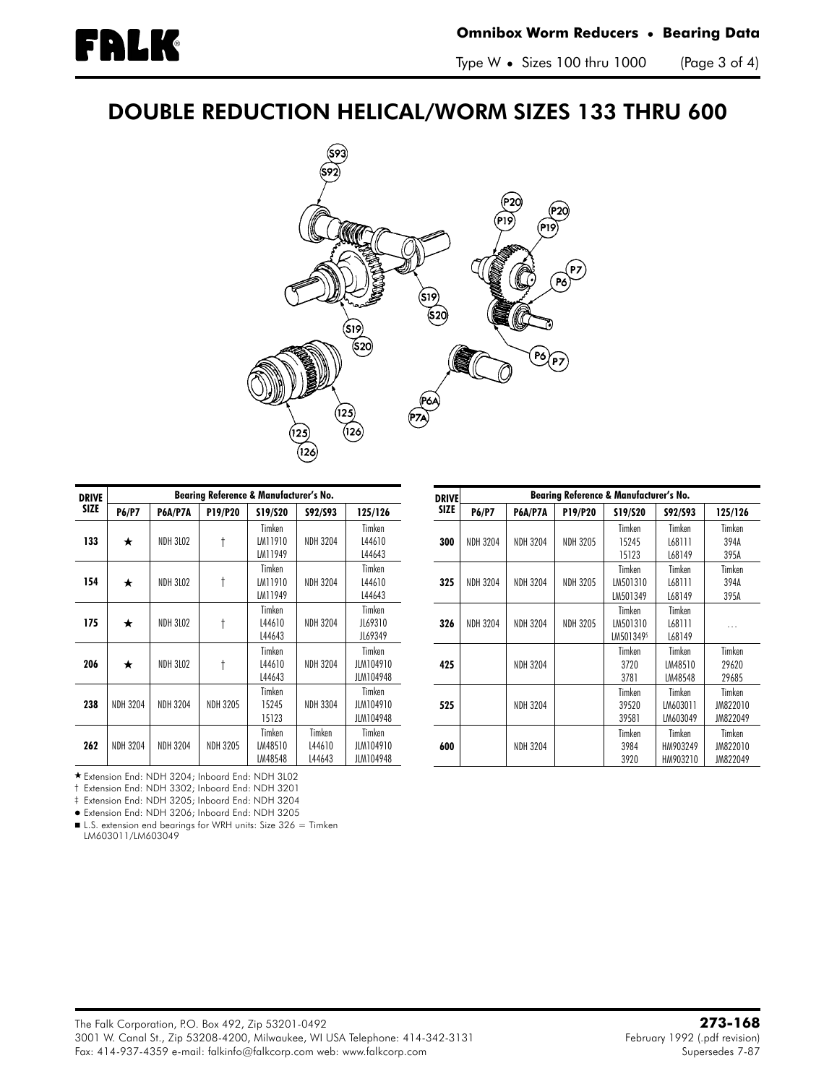# DOUBLE REDUCTION HELICAL/WORM SIZES 133 THRU 600



| <b>DRIVE</b> | <b>Bearing Reference &amp; Manufacturer's No.</b> |                 |                 |                              |                            |                                  |  |  |
|--------------|---------------------------------------------------|-----------------|-----------------|------------------------------|----------------------------|----------------------------------|--|--|
| <b>SIZE</b>  | <b>P6/P7</b>                                      | <b>P6A/P7A</b>  | P19/P20         | S19/S20                      | S92/S93                    | 125/126                          |  |  |
| 133          | ★                                                 | <b>NDH 3L02</b> | t               | Timken<br>LM11910<br>LM11949 | <b>NDH 3204</b>            | Timken<br>L44610<br>L44643       |  |  |
| 154          | ★                                                 | <b>NDH 3L02</b> | t               | Timken<br>LM11910<br>LM11949 | <b>NDH 3204</b>            | Timken<br>L44610<br>L44643       |  |  |
| 175          | ★                                                 | <b>NDH 3L02</b> | t               | Timken<br>L44610<br>L44643   | <b>NDH 3204</b>            | Timken<br>JL69310<br>JL69349     |  |  |
| 206          | ★                                                 | <b>NDH 3L02</b> | t               | Timken<br>L44610<br>L44643   | <b>NDH 3204</b>            | Timken<br>JLM104910<br>JLM104948 |  |  |
| 238          | <b>NDH 3204</b>                                   | <b>NDH 3204</b> | <b>NDH 3205</b> | Timken<br>15245<br>15123     | <b>NDH 3304</b>            | Timken<br>JLM104910<br>JLM104948 |  |  |
| 262          | <b>NDH 3204</b>                                   | <b>NDH 3204</b> | <b>NDH 3205</b> | Timken<br>LM48510<br>LM48548 | Timken<br>L44610<br>L44643 | Timken<br>JLM104910<br>JLM104948 |  |  |

Extension End: NDH 3204; Inboard End: NDH 3L02

† Extension End: NDH 3302; Inboard End: NDH 3201

‡ Extension End: NDH 3205; Inboard End: NDH 3204

Extension End: NDH 3206; Inboard End: NDH 3205

■ L.S. extension end bearings for WRH units: Size 326 = Timken LM603011/LM603049

| <b>DRIVE</b> | <b>Bearing Reference &amp; Manufacturer's No.</b> |                 |                 |                                 |                                |                                |
|--------------|---------------------------------------------------|-----------------|-----------------|---------------------------------|--------------------------------|--------------------------------|
| <b>SIZE</b>  | <b>P6/P7</b>                                      | P6A/P7A         | P19/P20         | S19/S20                         | S92/S93                        | 125/126                        |
| 300          | <b>NDH 3204</b>                                   | <b>NDH 3204</b> | <b>NDH 3205</b> | Timken<br>15245<br>15123        | Timken<br>L68111<br>L68149     | Timken<br>394A<br>395A         |
| 325          | <b>NDH 3204</b>                                   | <b>NDH 3204</b> | <b>NDH 3205</b> | Timken<br>LM501310<br>LM501349  | Timken<br>L68111<br>L68149     | Timken<br>394A<br>395A         |
| 326          | <b>NDH 3204</b>                                   | <b>NDH 3204</b> | <b>NDH 3205</b> | Timken<br>LM501310<br>LM5013495 | Timken<br>L68111<br>L68149     | .                              |
| 425          |                                                   | <b>NDH 3204</b> |                 | Timken<br>3720<br>3781          | Timken<br>LM48510<br>LM48548   | Timken<br>29620<br>29685       |
| 525          |                                                   | <b>NDH 3204</b> |                 | Timken<br>39520<br>39581        | Timken<br>LM603011<br>LM603049 | Timken<br>JM822010<br>JM822049 |
| 600          |                                                   | <b>NDH 3204</b> |                 | Timken<br>3984<br>3920          | Timken<br>HM903249<br>HM903210 | Timken<br>JM822010<br>JM822049 |